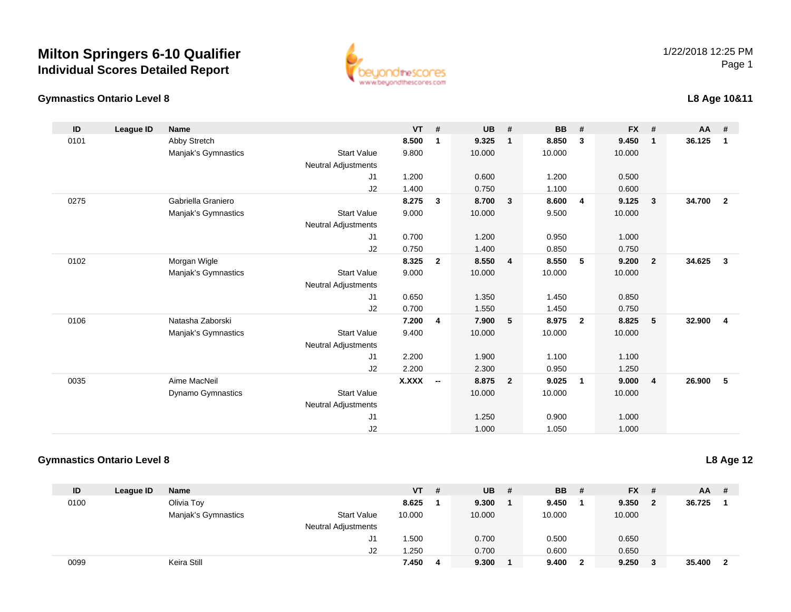### **Gymnastics Ontario Level 8**

www.beyondthescores.com

### **L8 Age 10&11**

| ID   | League ID | <b>Name</b>              |                            | <b>VT</b>    | #                        | <b>UB</b> | #              | <b>BB</b> | #              | <b>FX</b> | #              | <b>AA</b> | #              |
|------|-----------|--------------------------|----------------------------|--------------|--------------------------|-----------|----------------|-----------|----------------|-----------|----------------|-----------|----------------|
| 0101 |           | Abby Stretch             |                            | 8.500        | 1                        | 9.325     | $\mathbf{1}$   | 8.850     | 3              | 9.450     | $\overline{1}$ | 36.125    | $\mathbf{1}$   |
|      |           | Manjak's Gymnastics      | <b>Start Value</b>         | 9.800        |                          | 10.000    |                | 10.000    |                | 10.000    |                |           |                |
|      |           |                          | Neutral Adjustments        |              |                          |           |                |           |                |           |                |           |                |
|      |           |                          | J1                         | 1.200        |                          | 0.600     |                | 1.200     |                | 0.500     |                |           |                |
|      |           |                          | J2                         | 1.400        |                          | 0.750     |                | 1.100     |                | 0.600     |                |           |                |
| 0275 |           | Gabriella Graniero       |                            | 8.275        | $\mathbf{3}$             | 8.700     | $\mathbf{3}$   | 8.600     | $\overline{4}$ | 9.125     | $\mathbf{3}$   | 34.700    | $\overline{2}$ |
|      |           | Manjak's Gymnastics      | <b>Start Value</b>         | 9.000        |                          | 10.000    |                | 9.500     |                | 10.000    |                |           |                |
|      |           |                          | <b>Neutral Adjustments</b> |              |                          |           |                |           |                |           |                |           |                |
|      |           |                          | J1                         | 0.700        |                          | 1.200     |                | 0.950     |                | 1.000     |                |           |                |
|      |           |                          | J2                         | 0.750        |                          | 1.400     |                | 0.850     |                | 0.750     |                |           |                |
| 0102 |           | Morgan Wigle             |                            | 8.325        | $\overline{2}$           | 8.550     | $\overline{4}$ | 8.550     | 5              | 9.200     | $\overline{2}$ | 34.625    | $\mathbf{3}$   |
|      |           | Manjak's Gymnastics      | <b>Start Value</b>         | 9.000        |                          | 10.000    |                | 10.000    |                | 10.000    |                |           |                |
|      |           |                          | Neutral Adjustments        |              |                          |           |                |           |                |           |                |           |                |
|      |           |                          | J1                         | 0.650        |                          | 1.350     |                | 1.450     |                | 0.850     |                |           |                |
|      |           |                          | J2                         | 0.700        |                          | 1.550     |                | 1.450     |                | 0.750     |                |           |                |
| 0106 |           | Natasha Zaborski         |                            | 7.200        | 4                        | 7.900     | 5              | 8.975     | $\overline{2}$ | 8.825     | -5             | 32.900    | $\overline{4}$ |
|      |           | Manjak's Gymnastics      | <b>Start Value</b>         | 9.400        |                          | 10.000    |                | 10.000    |                | 10.000    |                |           |                |
|      |           |                          | <b>Neutral Adjustments</b> |              |                          |           |                |           |                |           |                |           |                |
|      |           |                          | J <sub>1</sub>             | 2.200        |                          | 1.900     |                | 1.100     |                | 1.100     |                |           |                |
|      |           |                          | J2                         | 2.200        |                          | 2.300     |                | 0.950     |                | 1.250     |                |           |                |
| 0035 |           | Aime MacNeil             |                            | <b>X.XXX</b> | $\overline{\phantom{a}}$ | 8.875     | $\overline{2}$ | 9.025     | $\overline{1}$ | 9.000     | $\overline{4}$ | 26.900    | 5              |
|      |           | <b>Dynamo Gymnastics</b> | <b>Start Value</b>         |              |                          | 10.000    |                | 10.000    |                | 10.000    |                |           |                |
|      |           |                          | <b>Neutral Adjustments</b> |              |                          |           |                |           |                |           |                |           |                |
|      |           |                          | J1                         |              |                          | 1.250     |                | 0.900     |                | 1.000     |                |           |                |
|      |           |                          | J2                         |              |                          | 1.000     |                | 1.050     |                | 1.000     |                |           |                |

### **Gymnastics Ontario Level 8**

**L8 Age 12**

| ID   | League ID | <b>Name</b>         |                            | <b>VT</b> | # | <b>UB</b> | # | <b>BB</b> | #            | <b>FX</b> | - # | $AA$ # |                         |
|------|-----------|---------------------|----------------------------|-----------|---|-----------|---|-----------|--------------|-----------|-----|--------|-------------------------|
| 0100 |           | Olivia Toy          |                            | 8.625     |   | 9.300     |   | 9.450     |              | 9.350     | 2   | 36.725 |                         |
|      |           | Manjak's Gymnastics | <b>Start Value</b>         | 10.000    |   | 10.000    |   | 10.000    |              | 10.000    |     |        |                         |
|      |           |                     | <b>Neutral Adjustments</b> |           |   |           |   |           |              |           |     |        |                         |
|      |           |                     | J1                         | .500      |   | 0.700     |   | 0.500     |              | 0.650     |     |        |                         |
|      |           |                     | J2                         | .250      |   | 0.700     |   | 0.600     |              | 0.650     |     |        |                         |
| 0099 |           | Keira Still         |                            | 7.450     |   | 9.300     |   | 9.400     | $\mathbf{2}$ | 9.250     |     | 35.400 | $\overline{\mathbf{2}}$ |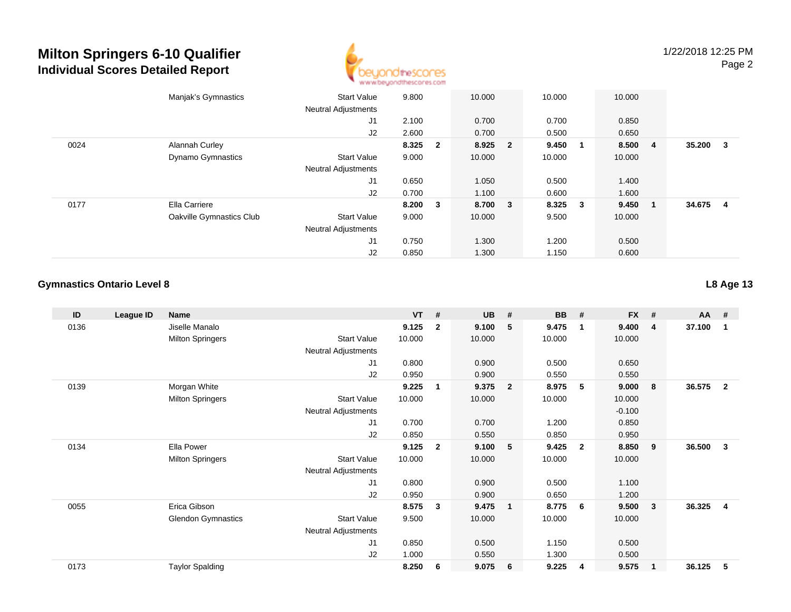

|      | Manjak's Gymnastics      | <b>Start Value</b>         | 9.800   | 10.000  | 10.000 | 10.000                           |                |        |              |
|------|--------------------------|----------------------------|---------|---------|--------|----------------------------------|----------------|--------|--------------|
|      |                          | <b>Neutral Adjustments</b> |         |         |        |                                  |                |        |              |
|      |                          | J <sub>1</sub>             | 2.100   | 0.700   | 0.700  | 0.850                            |                |        |              |
|      |                          | J2                         | 2.600   | 0.700   | 0.500  | 0.650                            |                |        |              |
| 0024 | Alannah Curley           |                            | 8.325 2 | 8.925 2 | 9.450  | 8.500<br>$\blacksquare$          | $\overline{4}$ | 35.200 | $\mathbf{3}$ |
|      | <b>Dynamo Gymnastics</b> | <b>Start Value</b>         | 9.000   | 10.000  | 10.000 | 10.000                           |                |        |              |
|      |                          | <b>Neutral Adjustments</b> |         |         |        |                                  |                |        |              |
|      |                          | J1                         | 0.650   | 1.050   | 0.500  | 1.400                            |                |        |              |
|      |                          | J2                         | 0.700   | 1.100   | 0.600  | 1.600                            |                |        |              |
| 0177 | Ella Carriere            |                            | 8.200 3 | 8.700 3 | 8.325  | 9.450<br>$\overline{\mathbf{3}}$ | - 1            | 34.675 | 4            |
|      | Oakville Gymnastics Club | <b>Start Value</b>         | 9.000   | 10.000  | 9.500  | 10.000                           |                |        |              |
|      |                          | <b>Neutral Adjustments</b> |         |         |        |                                  |                |        |              |
|      |                          | J <sub>1</sub>             | 0.750   | 1.300   | 1.200  | 0.500                            |                |        |              |
|      |                          | J2                         | 0.850   | 1.300   | 1.150  | 0.600                            |                |        |              |

#### **Gymnastics Ontario Level 8**

**ID League ID Name VT # UB # BB # FX # AA #** 0136 Jiselle Manalo **9.125 <sup>2</sup> 9.100 <sup>5</sup> 9.475 <sup>1</sup> 9.400 <sup>4</sup> 37.100 <sup>1</sup>** Milton Springers Start Valuee 10.000 10.000 10.000 10.000 Neutral Adjustments J1 0.800 0.900 0.500 0.650 J2 0.950 0.900 0.550 0.550 0139 Morgan White **9.225 <sup>1</sup> 9.375 <sup>2</sup> 8.975 <sup>5</sup> 9.000 <sup>8</sup> 36.575 <sup>2</sup>** Milton Springers Start Valuee 10.000 10.000 10.000 10.000 Neutral Adjustments $\sim$  -0.100 0.850 J1 0.700 0.700 1.200 0.850 J2 0.850 0.550 0.850 0.950 0134 Ella Power **9.125 <sup>2</sup> 9.100 <sup>5</sup> 9.425 <sup>2</sup> 8.850 <sup>9</sup> 36.500 <sup>3</sup>** Milton Springers Start Valuee 10.000 10.000 10.000 10.000 Neutral Adjustments J1 0.800 0.900 0.500 1.100 J2 0.950 0.900 0.650 1.200 0055 Erica Gibson **8.575 <sup>3</sup> 9.475 <sup>1</sup> 8.775 <sup>6</sup> 9.500 <sup>3</sup> 36.325 <sup>4</sup>** Glendon Gymnastics Start Valuee 9.500 10.000 10.000 10.000 Neutral Adjustments J1 0.850 0.500 1.150 0.500 J2 1.000 0.550 1.300 0.500 0173Taylor Spalding **8.250 <sup>6</sup> 9.075 <sup>6</sup> 9.225 <sup>4</sup> 9.575 <sup>1</sup> 36.125 <sup>5</sup>**

**L8 Age 13**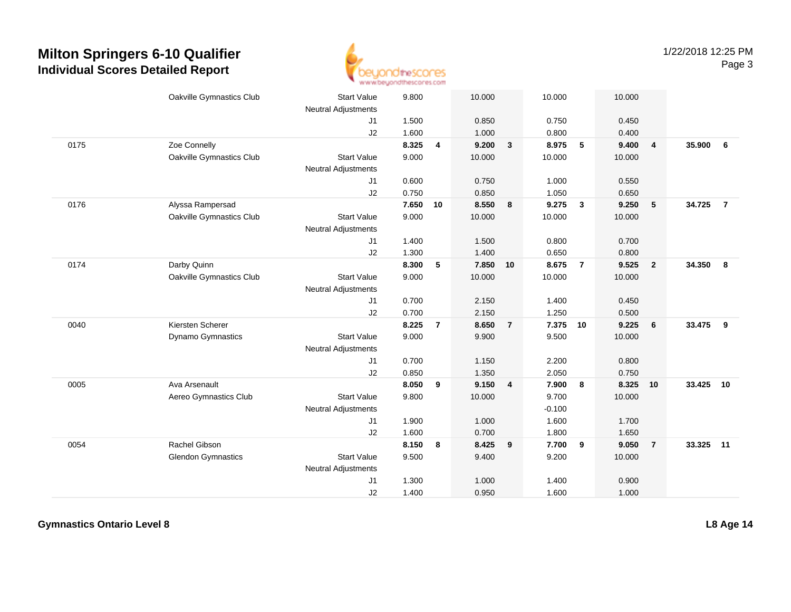

|      | Oakville Gymnastics Club  | <b>Start Value</b><br><b>Neutral Adjustments</b> | 9.800 |                | 10.000 |                | 10.000   |                  | 10.000 |                |        |                |
|------|---------------------------|--------------------------------------------------|-------|----------------|--------|----------------|----------|------------------|--------|----------------|--------|----------------|
|      |                           | J1                                               | 1.500 |                | 0.850  |                | 0.750    |                  | 0.450  |                |        |                |
|      |                           | J2                                               | 1.600 |                | 1.000  |                | 0.800    |                  | 0.400  |                |        |                |
| 0175 | Zoe Connelly              |                                                  | 8.325 | 4              | 9.200  | $\mathbf{3}$   | 8.975    | 5                | 9.400  | $\overline{4}$ | 35.900 | 6              |
|      | Oakville Gymnastics Club  | <b>Start Value</b>                               | 9.000 |                | 10.000 |                | 10.000   |                  | 10.000 |                |        |                |
|      |                           | <b>Neutral Adjustments</b>                       |       |                |        |                |          |                  |        |                |        |                |
|      |                           | J1                                               | 0.600 |                | 0.750  |                | 1.000    |                  | 0.550  |                |        |                |
|      |                           | J2                                               | 0.750 |                | 0.850  |                | 1.050    |                  | 0.650  |                |        |                |
| 0176 | Alyssa Rampersad          |                                                  | 7.650 | 10             | 8.550  | 8              | 9.275    | $\mathbf{3}$     | 9.250  | 5              | 34.725 | $\overline{7}$ |
|      | Oakville Gymnastics Club  | <b>Start Value</b>                               | 9.000 |                | 10.000 |                | 10.000   |                  | 10.000 |                |        |                |
|      |                           | Neutral Adjustments                              |       |                |        |                |          |                  |        |                |        |                |
|      |                           | J1                                               | 1.400 |                | 1.500  |                | 0.800    |                  | 0.700  |                |        |                |
|      |                           | J2                                               | 1.300 |                | 1.400  |                | 0.650    |                  | 0.800  |                |        |                |
| 0174 | Darby Quinn               |                                                  | 8.300 | 5              | 7.850  | 10             | 8.675    | $\overline{7}$   | 9.525  | $\overline{2}$ | 34.350 | 8              |
|      | Oakville Gymnastics Club  | <b>Start Value</b>                               | 9.000 |                | 10.000 |                | 10.000   |                  | 10.000 |                |        |                |
|      |                           | Neutral Adjustments                              |       |                |        |                |          |                  |        |                |        |                |
|      |                           | J1                                               | 0.700 |                | 2.150  |                | 1.400    |                  | 0.450  |                |        |                |
|      |                           | J2                                               | 0.700 |                | 2.150  |                | 1.250    |                  | 0.500  |                |        |                |
| 0040 | Kiersten Scherer          |                                                  | 8.225 | $\overline{7}$ | 8.650  | $\overline{7}$ | 7.375    | 10               | 9.225  | 6              | 33.475 | 9              |
|      | Dynamo Gymnastics         | <b>Start Value</b>                               | 9.000 |                | 9.900  |                | 9.500    |                  | 10.000 |                |        |                |
|      |                           | Neutral Adjustments                              |       |                |        |                |          |                  |        |                |        |                |
|      |                           | J1                                               | 0.700 |                | 1.150  |                | 2.200    |                  | 0.800  |                |        |                |
|      |                           | J2                                               | 0.850 |                | 1.350  |                | 2.050    |                  | 0.750  |                |        |                |
| 0005 | Ava Arsenault             |                                                  | 8.050 | 9              | 9.150  | 4              | 7.900    | $\boldsymbol{8}$ | 8.325  | 10             | 33.425 | 10             |
|      | Aereo Gymnastics Club     | <b>Start Value</b>                               | 9.800 |                | 10.000 |                | 9.700    |                  | 10.000 |                |        |                |
|      |                           | <b>Neutral Adjustments</b>                       |       |                |        |                | $-0.100$ |                  |        |                |        |                |
|      |                           | J1                                               | 1.900 |                | 1.000  |                | 1.600    |                  | 1.700  |                |        |                |
|      |                           | J2                                               | 1.600 |                | 0.700  |                | 1.800    |                  | 1.650  |                |        |                |
| 0054 | Rachel Gibson             |                                                  | 8.150 | 8              | 8.425  | 9              | 7.700    | $\overline{9}$   | 9.050  | $\overline{7}$ | 33.325 | 11             |
|      | <b>Glendon Gymnastics</b> | <b>Start Value</b>                               | 9.500 |                | 9.400  |                | 9.200    |                  | 10.000 |                |        |                |
|      |                           | Neutral Adjustments                              |       |                |        |                |          |                  |        |                |        |                |
|      |                           | J1                                               | 1.300 |                | 1.000  |                | 1.400    |                  | 0.900  |                |        |                |
|      |                           | J2                                               | 1.400 |                | 0.950  |                | 1.600    |                  | 1.000  |                |        |                |

**Gymnastics Ontario Level 8**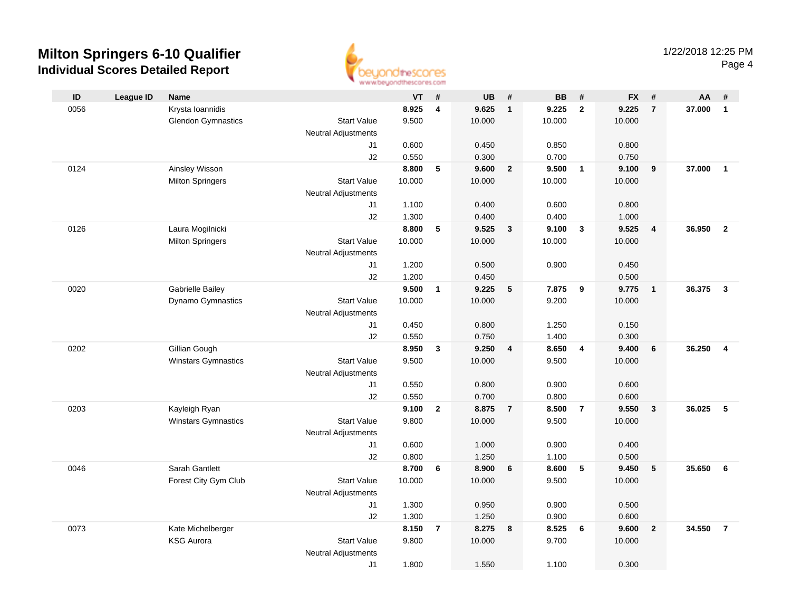

|      |                  |                            |                            | an an aaronadhay wantu sacara |                |                |                |                |                |                |                         |        |                         |
|------|------------------|----------------------------|----------------------------|-------------------------------|----------------|----------------|----------------|----------------|----------------|----------------|-------------------------|--------|-------------------------|
| ID   | <b>League ID</b> | Name                       |                            | VT                            | #              | <b>UB</b>      | #              | <b>BB</b>      | #              | <b>FX</b>      | #                       | AA     | #                       |
| 0056 |                  | Krysta Ioannidis           |                            | 8.925                         | 4              | 9.625          | $\mathbf{1}$   | 9.225          | $\overline{2}$ | 9.225          | $\overline{7}$          | 37.000 | $\overline{1}$          |
|      |                  | <b>Glendon Gymnastics</b>  | <b>Start Value</b>         | 9.500                         |                | 10.000         |                | 10.000         |                | 10.000         |                         |        |                         |
|      |                  |                            | <b>Neutral Adjustments</b> |                               |                |                |                |                |                |                |                         |        |                         |
|      |                  |                            | J1                         | 0.600                         |                | 0.450          |                | 0.850          |                | 0.800          |                         |        |                         |
|      |                  |                            | J2                         | 0.550                         |                | 0.300          |                | 0.700          |                | 0.750          |                         |        |                         |
| 0124 |                  | Ainsley Wisson             |                            | 8.800                         | 5              | 9.600          | $\overline{2}$ | 9.500          | $\overline{1}$ | 9.100          | 9                       | 37.000 | $\overline{1}$          |
|      |                  | <b>Milton Springers</b>    | <b>Start Value</b>         | 10.000                        |                | 10.000         |                | 10.000         |                | 10.000         |                         |        |                         |
|      |                  |                            | <b>Neutral Adjustments</b> |                               |                |                |                |                |                |                |                         |        |                         |
|      |                  |                            | J1                         | 1.100                         |                | 0.400          |                | 0.600          |                | 0.800          |                         |        |                         |
|      |                  |                            | J2                         | 1.300                         |                | 0.400          |                | 0.400          |                | 1.000          |                         |        |                         |
| 0126 |                  | Laura Mogilnicki           |                            | 8.800                         | 5              | 9.525          | $\mathbf{3}$   | 9.100          | $\mathbf{3}$   | 9.525          | $\overline{\mathbf{4}}$ | 36.950 | $\overline{2}$          |
|      |                  | <b>Milton Springers</b>    | <b>Start Value</b>         | 10.000                        |                | 10.000         |                | 10.000         |                | 10.000         |                         |        |                         |
|      |                  |                            | Neutral Adjustments        |                               |                |                |                |                |                |                |                         |        |                         |
|      |                  |                            | J1                         | 1.200                         |                | 0.500          |                | 0.900          |                | 0.450          |                         |        |                         |
|      |                  |                            | J2                         | 1.200                         |                | 0.450          |                |                |                | 0.500          |                         |        |                         |
| 0020 |                  | Gabrielle Bailey           |                            | 9.500                         | $\mathbf{1}$   | 9.225          | 5              | 7.875          | 9              | 9.775          | $\overline{1}$          | 36.375 | $\overline{\mathbf{3}}$ |
|      |                  | Dynamo Gymnastics          | <b>Start Value</b>         | 10.000                        |                | 10.000         |                | 9.200          |                | 10.000         |                         |        |                         |
|      |                  |                            | <b>Neutral Adjustments</b> |                               |                |                |                |                |                |                |                         |        |                         |
|      |                  |                            | J1                         | 0.450                         |                | 0.800          |                | 1.250          |                | 0.150          |                         |        |                         |
|      |                  |                            | J2                         | 0.550                         |                | 0.750          |                | 1.400          |                | 0.300          |                         |        |                         |
| 0202 |                  | Gillian Gough              |                            | 8.950                         | $\mathbf{3}$   | 9.250          | 4              | 8.650          | $\overline{4}$ | 9.400          | 6                       | 36.250 | $\overline{4}$          |
|      |                  | Winstars Gymnastics        | <b>Start Value</b>         | 9.500                         |                | 10.000         |                | 9.500          |                | 10.000         |                         |        |                         |
|      |                  |                            | Neutral Adjustments        |                               |                |                |                |                |                |                |                         |        |                         |
|      |                  |                            | J1                         | 0.550                         |                | 0.800          |                | 0.900          |                | 0.600          |                         |        |                         |
|      |                  |                            | J2                         | 0.550                         |                | 0.700          |                | 0.800          |                | 0.600          |                         |        |                         |
| 0203 |                  | Kayleigh Ryan              |                            | 9.100                         | $\overline{2}$ | 8.875          | $\overline{7}$ | 8.500          | $\overline{7}$ | 9.550          | $\overline{\mathbf{3}}$ | 36.025 | 5                       |
|      |                  | <b>Winstars Gymnastics</b> | <b>Start Value</b>         | 9.800                         |                | 10.000         |                | 9.500          |                | 10.000         |                         |        |                         |
|      |                  |                            | <b>Neutral Adjustments</b> |                               |                |                |                |                |                |                |                         |        |                         |
|      |                  |                            | J1                         | 0.600                         |                | 1.000          |                | 0.900          |                | 0.400          |                         |        |                         |
| 0046 |                  | Sarah Gantlett             | J2                         | 0.800                         |                | 1.250<br>8.900 |                | 1.100<br>8.600 | $\sqrt{5}$     | 0.500<br>9.450 |                         | 35.650 | 6                       |
|      |                  | Forest City Gym Club       | <b>Start Value</b>         | 8.700<br>10.000               | 6              | 10.000         | 6              | 9.500          |                | 10.000         | 5                       |        |                         |
|      |                  |                            | <b>Neutral Adjustments</b> |                               |                |                |                |                |                |                |                         |        |                         |
|      |                  |                            | J <sub>1</sub>             | 1.300                         |                | 0.950          |                | 0.900          |                | 0.500          |                         |        |                         |
|      |                  |                            | J2                         | 1.300                         |                | 1.250          |                | 0.900          |                | 0.600          |                         |        |                         |
| 0073 |                  | Kate Michelberger          |                            | 8.150                         | $\overline{7}$ | 8.275          | 8              | 8.525          | 6              | 9.600          | $\overline{2}$          | 34.550 | $\overline{7}$          |
|      |                  | <b>KSG Aurora</b>          | <b>Start Value</b>         | 9.800                         |                | 10.000         |                | 9.700          |                | 10.000         |                         |        |                         |
|      |                  |                            | <b>Neutral Adjustments</b> |                               |                |                |                |                |                |                |                         |        |                         |
|      |                  |                            | J1                         | 1.800                         |                | 1.550          |                | 1.100          |                | 0.300          |                         |        |                         |
|      |                  |                            |                            |                               |                |                |                |                |                |                |                         |        |                         |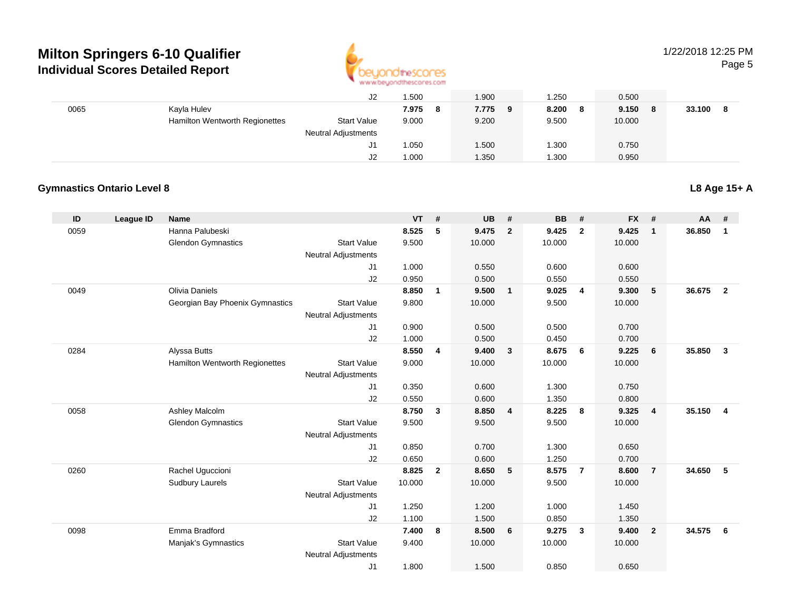

# 1/22/2018 12:25 PM

Page 5

|      |                                       | J2                         | .500         | 1.900      | 1.250      | 0.500      |             |
|------|---------------------------------------|----------------------------|--------------|------------|------------|------------|-------------|
| 0065 | Kayla Hulev                           |                            | 7.975<br>- 8 | 7.775<br>9 | 8.200<br>8 | 9.150<br>8 | 33.100<br>8 |
|      | <b>Hamilton Wentworth Regionettes</b> | <b>Start Value</b>         | 9.000        | 9.200      | 9.500      | 10.000     |             |
|      |                                       | <b>Neutral Adjustments</b> |              |            |            |            |             |
|      |                                       | J1                         | 1.050        | 1.500      | 1.300      | 0.750      |             |
|      |                                       | J2                         | 1.000        | 1.350      | 1.300      | 0.950      |             |

### **Gymnastics Ontario Level 8**

| ID   | League ID | <b>Name</b>                     |                                  | <b>VT</b>      | #            | <b>UB</b>      | #              | <b>BB</b> | #              | <b>FX</b>      | #                       | AA     | #              |
|------|-----------|---------------------------------|----------------------------------|----------------|--------------|----------------|----------------|-----------|----------------|----------------|-------------------------|--------|----------------|
| 0059 |           | Hanna Palubeski                 |                                  | 8.525          | 5            | 9.475          | $\overline{2}$ | 9.425     | $\overline{2}$ | 9.425          | $\overline{\mathbf{1}}$ | 36.850 | $\overline{1}$ |
|      |           | <b>Glendon Gymnastics</b>       | <b>Start Value</b>               | 9.500          |              | 10.000         |                | 10.000    |                | 10.000         |                         |        |                |
|      |           |                                 | <b>Neutral Adjustments</b>       |                |              |                |                |           |                |                |                         |        |                |
|      |           |                                 | J1                               | 1.000          |              | 0.550          |                | 0.600     |                | 0.600          |                         |        |                |
|      |           |                                 | J2                               | 0.950          |              | 0.500          |                | 0.550     |                | 0.550          |                         |        |                |
| 0049 |           | Olivia Daniels                  |                                  | 8.850          | 1            | 9.500          | $\mathbf{1}$   | 9.025     | 4              | 9.300          | 5                       | 36.675 | $\overline{2}$ |
|      |           | Georgian Bay Phoenix Gymnastics | <b>Start Value</b>               | 9.800          |              | 10.000         |                | 9.500     |                | 10.000         |                         |        |                |
|      |           |                                 | <b>Neutral Adjustments</b>       |                |              |                |                | 0.500     |                |                |                         |        |                |
|      |           |                                 | J1<br>J2                         | 0.900<br>1.000 |              | 0.500<br>0.500 |                | 0.450     |                | 0.700<br>0.700 |                         |        |                |
| 0284 |           | Alyssa Butts                    |                                  | 8.550          | 4            | 9.400          | 3              | 8.675     | 6              | 9.225          | 6                       | 35.850 | $\mathbf{3}$   |
|      |           | Hamilton Wentworth Regionettes  | <b>Start Value</b>               | 9.000          |              | 10.000         |                | 10.000    |                | 10.000         |                         |        |                |
|      |           |                                 | <b>Neutral Adjustments</b>       |                |              |                |                |           |                |                |                         |        |                |
|      |           |                                 | J1                               | 0.350          |              | 0.600          |                | 1.300     |                | 0.750          |                         |        |                |
|      |           |                                 | J2                               | 0.550          |              | 0.600          |                | 1.350     |                | 0.800          |                         |        |                |
| 0058 |           | Ashley Malcolm                  |                                  | 8.750          | $\mathbf{3}$ | 8.850          | 4              | 8.225     | 8              | 9.325          | $\overline{4}$          | 35.150 | $\overline{4}$ |
|      |           | <b>Glendon Gymnastics</b>       | <b>Start Value</b>               | 9.500          |              | 9.500          |                | 9.500     |                | 10.000         |                         |        |                |
|      |           |                                 | <b>Neutral Adjustments</b>       |                |              |                |                |           |                |                |                         |        |                |
|      |           |                                 | J1                               | 0.850          |              | 0.700          |                | 1.300     |                | 0.650          |                         |        |                |
|      |           |                                 | J2                               | 0.650          |              | 0.600          |                | 1.250     |                | 0.700          |                         |        |                |
| 0260 |           | Rachel Uguccioni                |                                  | 8.825          | $\mathbf{2}$ | 8.650          | 5              | 8.575     | $\overline{7}$ | 8.600          | $\overline{7}$          | 34.650 | 5              |
|      |           | <b>Sudbury Laurels</b>          | <b>Start Value</b>               | 10.000         |              | 10.000         |                | 9.500     |                | 10.000         |                         |        |                |
|      |           |                                 | <b>Neutral Adjustments</b>       |                |              |                |                |           |                |                |                         |        |                |
|      |           |                                 | J1                               | 1.250          |              | 1.200          |                | 1.000     |                | 1.450          |                         |        |                |
|      |           |                                 | J2                               | 1.100          |              | 1.500          |                | 0.850     |                | 1.350          |                         |        |                |
| 0098 |           | Emma Bradford                   |                                  | 7.400          | 8            | 8.500          | 6              | 9.275     | $\mathbf{3}$   | 9.400          | $\overline{\mathbf{2}}$ | 34.575 | 6              |
|      |           | Manjak's Gymnastics             | <b>Start Value</b>               | 9.400          |              | 10.000         |                | 10.000    |                | 10.000         |                         |        |                |
|      |           |                                 | <b>Neutral Adjustments</b><br>J1 | 1.800          |              | 1.500          |                | 0.850     |                | 0.650          |                         |        |                |
|      |           |                                 |                                  |                |              |                |                |           |                |                |                         |        |                |

**L8 Age 15+ A**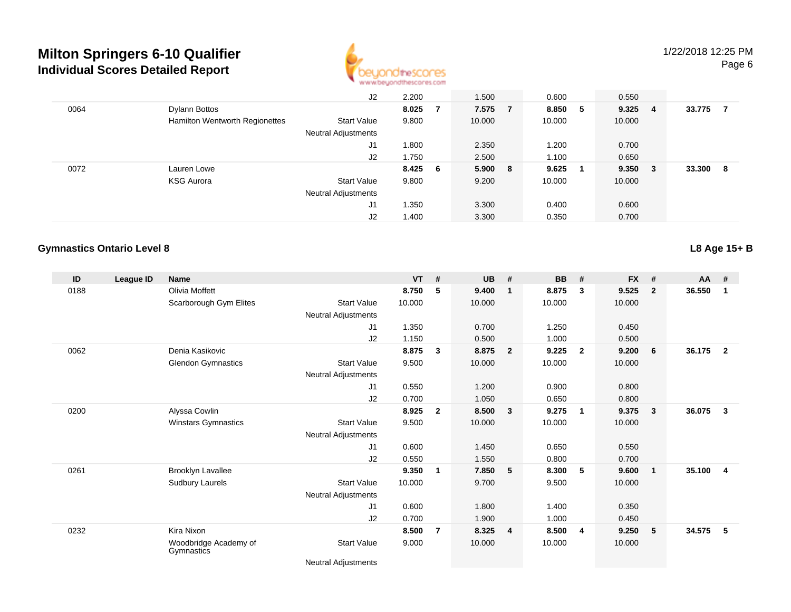

|      |                                | J2                         | 2.200   |   | 1.500   | 0.600   | 0.550  |        |        |   |
|------|--------------------------------|----------------------------|---------|---|---------|---------|--------|--------|--------|---|
| 0064 | Dylann Bottos                  |                            | 8.025   | 7 | 7.575 7 | 8.850 5 | 9.325  | -4     | 33.775 |   |
|      | Hamilton Wentworth Regionettes | <b>Start Value</b>         | 9.800   |   | 10.000  | 10.000  | 10.000 |        |        |   |
|      |                                | <b>Neutral Adjustments</b> |         |   |         |         |        |        |        |   |
|      |                                | J1                         | 1.800   |   | 2.350   | 1.200   | 0.700  |        |        |   |
|      |                                | J2                         | 1.750   |   | 2.500   | 1.100   | 0.650  |        |        |   |
| 0072 | Lauren Lowe                    |                            | 8.425 6 |   | 5.900 8 | 9.625   | 9.350  | $_{3}$ | 33,300 | 8 |
|      | <b>KSG Aurora</b>              | <b>Start Value</b>         | 9.800   |   | 9.200   | 10.000  | 10.000 |        |        |   |
|      |                                | <b>Neutral Adjustments</b> |         |   |         |         |        |        |        |   |
|      |                                | J1                         | .350    |   | 3.300   | 0.400   | 0.600  |        |        |   |
|      |                                | J2                         | 400، ا  |   | 3.300   | 0.350   | 0.700  |        |        |   |

### **Gymnastics Ontario Level 8**

**L8 Age 15+ B**

| ID   | League ID | Name                                |                            | <b>VT</b> | #              | <b>UB</b> | #                       | <b>BB</b> | #                       | <b>FX</b> | #              | $AA$ # |                |
|------|-----------|-------------------------------------|----------------------------|-----------|----------------|-----------|-------------------------|-----------|-------------------------|-----------|----------------|--------|----------------|
| 0188 |           | Olivia Moffett                      |                            | 8.750     | 5              | 9.400     | $\overline{1}$          | 8.875     | 3                       | 9.525     | $\overline{2}$ | 36.550 | 1              |
|      |           | Scarborough Gym Elites              | <b>Start Value</b>         | 10.000    |                | 10.000    |                         | 10.000    |                         | 10.000    |                |        |                |
|      |           |                                     | Neutral Adjustments        |           |                |           |                         |           |                         |           |                |        |                |
|      |           |                                     | J1                         | 1.350     |                | 0.700     |                         | 1.250     |                         | 0.450     |                |        |                |
|      |           |                                     | J2                         | 1.150     |                | 0.500     |                         | 1.000     |                         | 0.500     |                |        |                |
| 0062 |           | Denia Kasikovic                     |                            | 8.875     | 3              | 8.875     | $\overline{\mathbf{2}}$ | 9.225     | $\overline{2}$          | 9.200     | 6              | 36.175 | $\overline{2}$ |
|      |           | <b>Glendon Gymnastics</b>           | <b>Start Value</b>         | 9.500     |                | 10.000    |                         | 10.000    |                         | 10.000    |                |        |                |
|      |           |                                     | Neutral Adjustments        |           |                |           |                         |           |                         |           |                |        |                |
|      |           |                                     | J1                         | 0.550     |                | 1.200     |                         | 0.900     |                         | 0.800     |                |        |                |
|      |           |                                     | J2                         | 0.700     |                | 1.050     |                         | 0.650     |                         | 0.800     |                |        |                |
| 0200 |           | Alyssa Cowlin                       |                            | 8.925     | $\mathbf{2}$   | 8.500     | $\mathbf{3}$            | 9.275     | $\overline{\mathbf{1}}$ | 9.375     | 3              | 36.075 | 3              |
|      |           | Winstars Gymnastics                 | <b>Start Value</b>         | 9.500     |                | 10.000    |                         | 10.000    |                         | 10.000    |                |        |                |
|      |           |                                     | Neutral Adjustments        |           |                |           |                         |           |                         |           |                |        |                |
|      |           |                                     | J1                         | 0.600     |                | 1.450     |                         | 0.650     |                         | 0.550     |                |        |                |
|      |           |                                     | J2                         | 0.550     |                | 1.550     |                         | 0.800     |                         | 0.700     |                |        |                |
| 0261 |           | <b>Brooklyn Lavallee</b>            |                            | 9.350     |                | 7.850     | $5\phantom{.0}$         | 8.300     | 5                       | 9.600     | $\mathbf{1}$   | 35.100 | $\overline{4}$ |
|      |           | Sudbury Laurels                     | <b>Start Value</b>         | 10.000    |                | 9.700     |                         | 9.500     |                         | 10.000    |                |        |                |
|      |           |                                     | Neutral Adjustments        |           |                |           |                         |           |                         |           |                |        |                |
|      |           |                                     | J1                         | 0.600     |                | 1.800     |                         | 1.400     |                         | 0.350     |                |        |                |
|      |           |                                     | J2                         | 0.700     |                | 1.900     |                         | 1.000     |                         | 0.450     |                |        |                |
| 0232 |           | Kira Nixon                          |                            | 8.500     | $\overline{7}$ | 8.325     | $\overline{\mathbf{4}}$ | 8.500     | $\overline{4}$          | 9.250     | 5              | 34.575 | 5              |
|      |           | Woodbridge Academy of<br>Gymnastics | <b>Start Value</b>         | 9.000     |                | 10.000    |                         | 10.000    |                         | 10.000    |                |        |                |
|      |           |                                     | <b>Neutral Adjustments</b> |           |                |           |                         |           |                         |           |                |        |                |